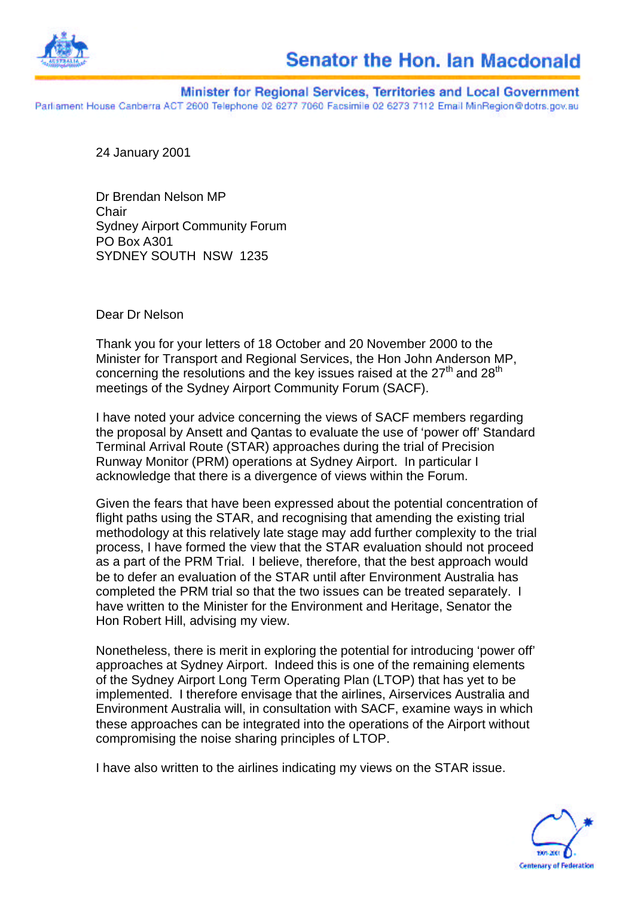

Minister for Regional Services, Territories and Local Government Parliament House Canberra ACT 2600 Telephone 02 6277 7060 Facsimile 02 6273 7112 Email MinRegion@dotrs.gov.au

24 January 2001

Dr Brendan Nelson MP **Chair** Sydney Airport Community Forum PO Box A301 SYDNEY SOUTH NSW 1235

Dear Dr Nelson

Thank you for your letters of 18 October and 20 November 2000 to the Minister for Transport and Regional Services, the Hon John Anderson MP, concerning the resolutions and the key issues raised at the  $27<sup>th</sup>$  and  $28<sup>th</sup>$ meetings of the Sydney Airport Community Forum (SACF).

I have noted your advice concerning the views of SACF members regarding the proposal by Ansett and Qantas to evaluate the use of 'power off' Standard Terminal Arrival Route (STAR) approaches during the trial of Precision Runway Monitor (PRM) operations at Sydney Airport. In particular I acknowledge that there is a divergence of views within the Forum.

Given the fears that have been expressed about the potential concentration of flight paths using the STAR, and recognising that amending the existing trial methodology at this relatively late stage may add further complexity to the trial process, I have formed the view that the STAR evaluation should not proceed as a part of the PRM Trial. I believe, therefore, that the best approach would be to defer an evaluation of the STAR until after Environment Australia has completed the PRM trial so that the two issues can be treated separately. I have written to the Minister for the Environment and Heritage, Senator the Hon Robert Hill, advising my view.

Nonetheless, there is merit in exploring the potential for introducing 'power off' approaches at Sydney Airport. Indeed this is one of the remaining elements of the Sydney Airport Long Term Operating Plan (LTOP) that has yet to be implemented. I therefore envisage that the airlines, Airservices Australia and Environment Australia will, in consultation with SACF, examine ways in which these approaches can be integrated into the operations of the Airport without compromising the noise sharing principles of LTOP.

I have also written to the airlines indicating my views on the STAR issue.